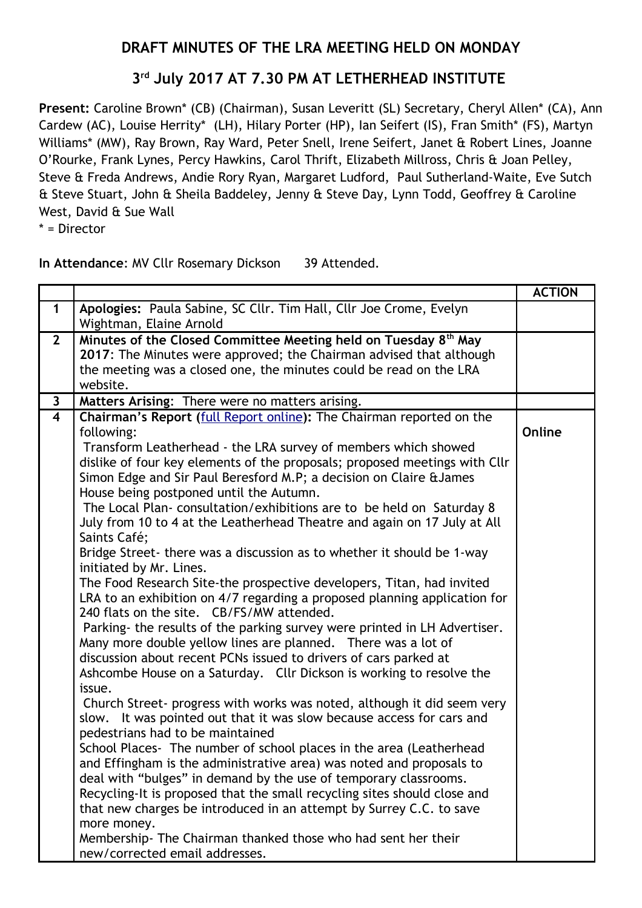## **DRAFT MINUTES OF THE LRA MEETING HELD ON MONDAY**

## **3 rd July 2017 AT 7.30 PM AT LETHERHEAD INSTITUTE**

**Present:** Caroline Brown\* (CB) (Chairman), Susan Leveritt (SL) Secretary, Cheryl Allen\* (CA), Ann Cardew (AC), Louise Herrity\* (LH), Hilary Porter (HP), Ian Seifert (IS), Fran Smith\* (FS), Martyn Williams\* (MW), Ray Brown, Ray Ward, Peter Snell, Irene Seifert, Janet & Robert Lines, Joanne O'Rourke, Frank Lynes, Percy Hawkins, Carol Thrift, Elizabeth Millross, Chris & Joan Pelley, Steve & Freda Andrews, Andie Rory Ryan, Margaret Ludford, Paul Sutherland-Waite, Eve Sutch & Steve Stuart, John & Sheila Baddeley, Jenny & Steve Day, Lynn Todd, Geoffrey & Caroline West, David & Sue Wall

\* = Director

| In Attendance: MV Cllr Rosemary Dickson | 39 Attended. |
|-----------------------------------------|--------------|
|-----------------------------------------|--------------|

|                         |                                                                             | <b>ACTION</b> |
|-------------------------|-----------------------------------------------------------------------------|---------------|
| $\mathbf 1$             | Apologies: Paula Sabine, SC Cllr. Tim Hall, Cllr Joe Crome, Evelyn          |               |
|                         | Wightman, Elaine Arnold                                                     |               |
| $2^{\circ}$             | Minutes of the Closed Committee Meeting held on Tuesday 8 <sup>th</sup> May |               |
|                         | 2017: The Minutes were approved; the Chairman advised that although         |               |
|                         | the meeting was a closed one, the minutes could be read on the LRA          |               |
|                         | website.                                                                    |               |
| $\mathbf{3}$            | Matters Arising: There were no matters arising.                             |               |
| $\overline{\mathbf{4}}$ | Chairman's Report (full Report online): The Chairman reported on the        |               |
|                         | following:                                                                  | Online        |
|                         | Transform Leatherhead - the LRA survey of members which showed              |               |
|                         | dislike of four key elements of the proposals; proposed meetings with Cllr  |               |
|                         | Simon Edge and Sir Paul Beresford M.P; a decision on Claire & James         |               |
|                         | House being postponed until the Autumn.                                     |               |
|                         | The Local Plan-consultation/exhibitions are to be held on Saturday 8        |               |
|                         | July from 10 to 4 at the Leatherhead Theatre and again on 17 July at All    |               |
|                         | Saints Café;                                                                |               |
|                         | Bridge Street- there was a discussion as to whether it should be 1-way      |               |
|                         | initiated by Mr. Lines.                                                     |               |
|                         | The Food Research Site-the prospective developers, Titan, had invited       |               |
|                         | LRA to an exhibition on 4/7 regarding a proposed planning application for   |               |
|                         | 240 flats on the site. CB/FS/MW attended.                                   |               |
|                         | Parking- the results of the parking survey were printed in LH Advertiser.   |               |
|                         | Many more double yellow lines are planned. There was a lot of               |               |
|                         | discussion about recent PCNs issued to drivers of cars parked at            |               |
|                         | Ashcombe House on a Saturday. Cllr Dickson is working to resolve the        |               |
|                         | issue.                                                                      |               |
|                         | Church Street- progress with works was noted, although it did seem very     |               |
|                         | slow. It was pointed out that it was slow because access for cars and       |               |
|                         | pedestrians had to be maintained                                            |               |
|                         | School Places- The number of school places in the area (Leatherhead         |               |
|                         | and Effingham is the administrative area) was noted and proposals to        |               |
|                         | deal with "bulges" in demand by the use of temporary classrooms.            |               |
|                         | Recycling-It is proposed that the small recycling sites should close and    |               |
|                         | that new charges be introduced in an attempt by Surrey C.C. to save         |               |
|                         | more money.                                                                 |               |
|                         | Membership- The Chairman thanked those who had sent her their               |               |
|                         | new/corrected email addresses.                                              |               |